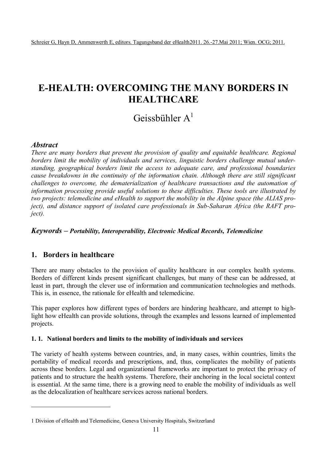# **E-HEALTH: OVERCOMING THE MANY BORDERS IN HEALTHCARE**

## Geissbühler  $A<sup>1</sup>$

## *Abstract*

 $\overline{a}$ 

*There are many borders that prevent the provision of quality and equitable healthcare. Regional borders limit the mobility of individuals and services, linguistic borders challenge mutual understanding, geographical borders limit the access to adequate care, and professional boundaries cause breakdowns in the continuity of the information chain. Although there are still significant challenges to overcome, the dematerialization of healthcare transactions and the automation of information processing provide useful solutions to these difficulties. These tools are illustrated by two projects: telemedicine and eHealth to support the mobility in the Alpine space (the ALIAS project), and distance support of isolated care professionals in Sub-Saharan Africa (the RAFT project).*

## *Keywords – Portability, Interoperability, Electronic Medical Records, Telemedicine*

## **1. Borders in healthcare**

There are many obstacles to the provision of quality healthcare in our complex health systems. Borders of different kinds present significant challenges, but many of these can be addressed, at least in part, through the clever use of information and communication technologies and methods. This is, in essence, the rationale for eHealth and telemedicine.

This paper explores how different types of borders are hindering healthcare, and attempt to highlight how eHealth can provide solutions, through the examples and lessons learned of implemented projects.

#### **1. 1. National borders and limits to the mobility of individuals and services**

The variety of health systems between countries, and, in many cases, within countries, limits the portability of medical records and prescriptions, and, thus, complicates the mobility of patients across these borders. Legal and organizational frameworks are important to protect the privacy of patients and to structure the health systems. Therefore, their anchoring in the local societal context is essential. At the same time, there is a growing need to enable the mobility of individuals as well as the delocalization of healthcare services across national borders.

<sup>1</sup> Division of eHealth and Telemedicine, Geneva University Hospitals, Switzerland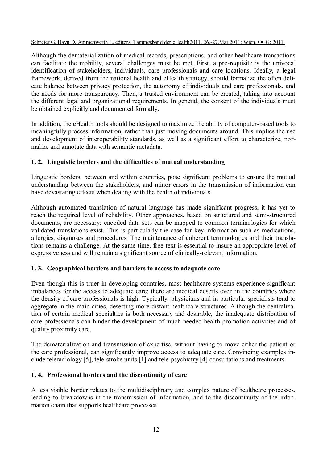Although the dematerialization of medical records, prescriptions, and other healthcare transactions can facilitate the mobility, several challenges must be met. First, a pre-requisite is the univocal identification of stakeholders, individuals, care professionals and care locations. Ideally, a legal framework, derived from the national health and eHealth strategy, should formalize the often delicate balance between privacy protection, the autonomy of individuals and care professionals, and the needs for more transparency. Then, a trusted environment can be created, taking into account the different legal and organizational requirements. In general, the consent of the individuals must be obtained explicitly and documented formally.

In addition, the eHealth tools should be designed to maximize the ability of computer-based tools to meaningfully process information, rather than just moving documents around. This implies the use and development of interoperability standards, as well as a significant effort to characterize, normalize and annotate data with semantic metadata.

### **1. 2. Linguistic borders and the difficulties of mutual understanding**

Linguistic borders, between and within countries, pose significant problems to ensure the mutual understanding between the stakeholders, and minor errors in the transmission of information can have devastating effects when dealing with the health of individuals.

Although automated translation of natural language has made significant progress, it has yet to reach the required level of reliability. Other approaches, based on structured and semi-structured documents, are necessary: encoded data sets can be mapped to common terminologies for which validated translations exist. This is particularly the case for key information such as medications, allergies, diagnoses and procedures. The maintenance of coherent terminologies and their translations remains a challenge. At the same time, free text is essential to insure an appropriate level of expressiveness and will remain a significant source of clinically-relevant information.

#### **1. 3. Geographical borders and barriers to access to adequate care**

Even though this is truer in developing countries, most healthcare systems experience significant imbalances for the access to adequate care: there are medical deserts even in the countries where the density of care professionals is high. Typically, physicians and in particular specialists tend to aggregate in the main cities, deserting more distant healthcare structures. Although the centralization of certain medical specialties is both necessary and desirable, the inadequate distribution of care professionals can hinder the development of much needed health promotion activities and of quality proximity care.

The dematerialization and transmission of expertise, without having to move either the patient or the care professional, can significantly improve access to adequate care. Convincing examples include teleradiology [5], tele-stroke units [1] and tele-psychiatry [4] consultations and treatments.

#### **1. 4. Professional borders and the discontinuity of care**

A less visible border relates to the multidisciplinary and complex nature of healthcare processes, leading to breakdowns in the transmission of information, and to the discontinuity of the information chain that supports healthcare processes.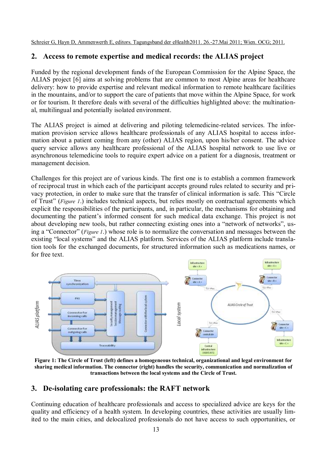## **2. Access to remote expertise and medical records: the ALIAS project**

Funded by the regional development funds of the European Commission for the Alpine Space, the ALIAS project [6] aims at solving problems that are common to most Alpine areas for healthcare delivery: how to provide expertise and relevant medical information to remote healthcare facilities in the mountains, and/or to support the care of patients that move within the Alpine Space, for work or for tourism. It therefore deals with several of the difficulties highlighted above: the multinational, multilingual and potentially isolated environment.

The ALIAS project is aimed at delivering and piloting telemedicine-related services. The information provision service allows healthcare professionals of any ALIAS hospital to access information about a patient coming from any (other) ALIAS region, upon his/her consent. The advice query service allows any healthcare professional of the ALIAS hospital network to use live or asynchronous telemedicine tools to require expert advice on a patient for a diagnosis, treatment or management decision.

Challenges for this project are of various kinds. The first one is to establish a common framework of reciprocal trust in which each of the participant accepts ground rules related to security and privacy protection, in order to make sure that the transfer of clinical information is safe. This "Circle of Trust" (*Figure 1*.) includes technical aspects, but relies mostly on contractual agreements which explicit the responsibilities of the participants, and, in particular, the mechanisms for obtaining and documenting the patient's informed consent for such medical data exchange. This project is not about developing new tools, but rather connecting existing ones into a "network of networks", using a "Connector" (*Figure 1*.) whose role is to normalize the conversation and messages between the existing "local systems" and the ALIAS platform. Services of the ALIAS platform include translation tools for the exchanged documents, for structured information such as medications names, or for free text.



**Figure 1: The Circle of Trust (left) defines a homogeneous technical, organizational and legal environment for sharing medical information. The connector (right) handles the security, communication and normalization of transactions between the local systems and the Circle of Trust.**

## **3. De-isolating care professionals: the RAFT network**

Continuing education of healthcare professionals and access to specialized advice are keys for the quality and efficiency of a health system. In developing countries, these activities are usually limited to the main cities, and delocalized professionals do not have access to such opportunities, or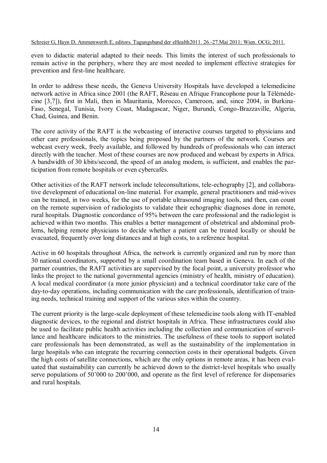even to didactic material adapted to their needs. This limits the interest of such professionals to remain active in the periphery, where they are most needed to implement effective strategies for prevention and first-line healthcare.

In order to address these needs, the Geneva University Hospitals have developed a telemedicine network active in Africa since 2001 (the RAFT, Réseau en Afrique Francophone pour la Télémédecine [3,7]), first in Mali, then in Mauritania, Morocco, Cameroon, and, since 2004, in Burkina-Faso, Senegal, Tunisia, Ivory Coast, Madagascar, Niger, Burundi, Congo-Brazzaville, Algeria, Chad, Guinea, and Benin.

The core activity of the RAFT is the webcasting of interactive courses targeted to physicians and other care professionals, the topics being proposed by the partners of the network. Courses are webcast every week, freely available, and followed by hundreds of professionals who can interact directly with the teacher. Most of these courses are now produced and webcast by experts in Africa. A bandwidth of 30 kbits/second, the speed of an analog modem, is sufficient, and enables the participation from remote hospitals or even cybercafés.

Other activities of the RAFT network include teleconsultations, tele-echography [2], and collaborative development of educational on-line material. For example, general practitioners and mid-wives can be trained, in two weeks, for the use of portable ultrasound imaging tools, and then, can count on the remote supervision of radiologists to validate their echographic diagnoses done in remote, rural hospitals. Diagnostic concordance of 95% between the care professional and the radiologist is achieved within two months. This enables a better management of obstetrical and abdominal problems, helping remote physicians to decide whether a patient can be treated locally or should be evacuated, frequently over long distances and at high costs, to a reference hospital.

Active in 60 hospitals throughout Africa, the network is currently organized and run by more than 30 national coordinators, supported by a small coordination team based in Geneva. In each of the partner countries, the RAFT activities are supervised by the focal point, a university professor who links the project to the national governmental agencies (ministry of health, ministry of education). A local medical coordinator (a more junior physician) and a technical coordinator take care of the day-to-day operations, including communication with the care professionals, identification of training needs, technical training and support of the various sites within the country.

The current priority is the large-scale deployment of these telemedicine tools along with IT-enabled diagnostic devices, to the regional and district hospitals in Africa. These infrastructures could also be used to facilitate public health activities including the collection and communication of surveillance and healthcare indicators to the ministries. The usefulness of these tools to support isolated care professionals has been demonstrated, as well as the sustainability of the implementation in large hospitals who can integrate the recurring connection costs in their operational budgets. Given the high costs of satellite connections, which are the only options in remote areas, it has been evaluated that sustainability can currently be achieved down to the district-level hospitals who usually serve populations of 50'000 to 200'000, and operate as the first level of reference for dispensaries and rural hospitals.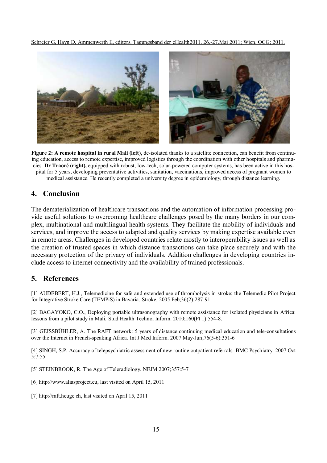

**Figure 2: A remote hospital in rural Mali (left**), de-isolated thanks to a satellite connection, can benefit from continuing education, access to remote expertise, improved logistics through the coordination with other hospitals and pharmacies. **Dr Traoré (right),** equipped with robust, low-tech, solar-powered computer systems, has been active in this hospital for 5 years, developing preventative activities, sanitation, vaccinations, improved access of pregnant women to medical assistance. He recently completed a university degree in epidemiology, through distance learning.

#### **4. Conclusion**

The dematerialization of healthcare transactions and the automation of information processing provide useful solutions to overcoming healthcare challenges posed by the many borders in our complex, multinational and multilingual health systems. They facilitate the mobility of individuals and services, and improve the access to adapted and quality services by making expertise available even in remote areas. Challenges in developed countries relate mostly to interoperability issues as well as the creation of trusted spaces in which distance transactions can take place securely and with the necessary protection of the privacy of individuals. Addition challenges in developing countries include access to internet connectivity and the availability of trained professionals.

## **5. References**

[1] AUDEBERT, H.J., Telemedicine for safe and extended use of thrombolysis in stroke: the Telemedic Pilot Project for Integrative Stroke Care (TEMPiS) in Bavaria. Stroke. 2005 Feb;36(2):287-91

[2] BAGAYOKO, C.O., Deploying portable ultrasonography with remote assistance for isolated physicians in Africa: lessons from a pilot study in Mali. Stud Health Technol Inform. 2010;160(Pt 1):554-8.

[3] GEISSBÜHLER, A. The RAFT network: 5 years of distance continuing medical education and tele-consultations over the Internet in French-speaking Africa. Int J Med Inform. 2007 May-Jun;76(5-6):351-6

[4] SINGH, S.P. Accuracy of telepsychiatric assessment of new routine outpatient referrals. BMC Psychiatry. 2007 Oct 5;7:55

- [5] STEINBROOK, R. The Age of Teleradiology. NEJM 2007;357:5-7
- [6] [http://www.aliasproject.eu,](http://www.aliasproject.eu/) last visited on April 15, 2011
- [7] [http://raft.hcuge.ch,](http://raft.hcuge.ch/) last visited on April 15, 2011